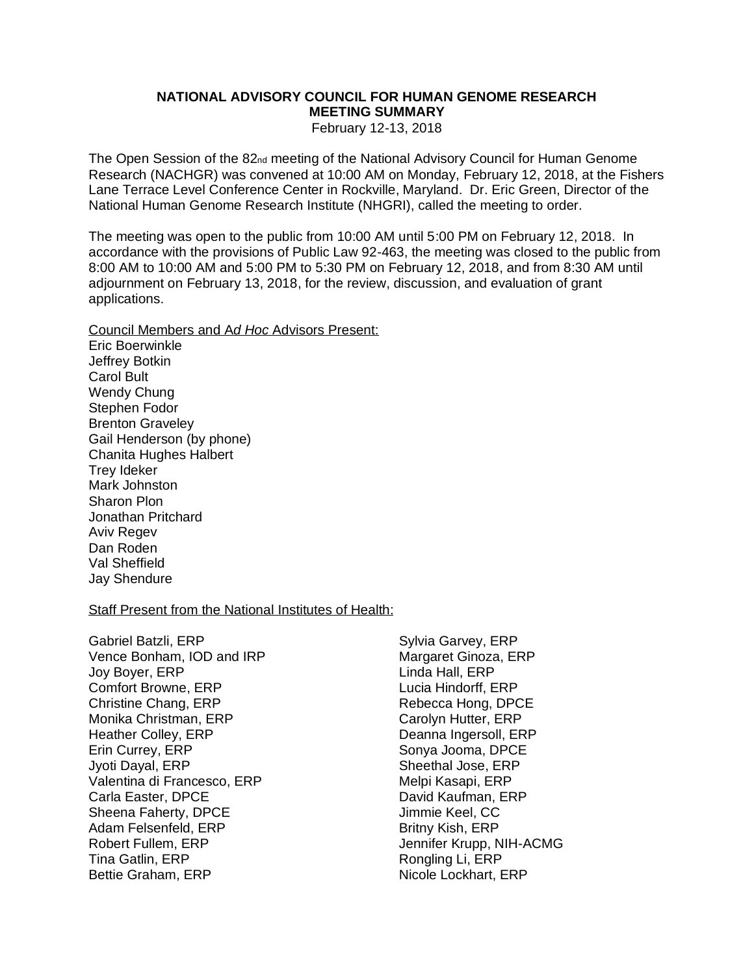# **NATIONAL ADVISORY COUNCIL FOR HUMAN GENOME RESEARCH MEETING SUMMARY**

February 12-13, 2018

The Open Session of the 82<sub>nd</sub> meeting of the National Advisory Council for Human Genome Research (NACHGR) was convened at 10:00 AM on Monday, February 12, 2018, at the Fishers Lane Terrace Level Conference Center in Rockville, Maryland. Dr. Eric Green, Director of the National Human Genome Research Institute (NHGRI), called the meeting to order.

The meeting was open to the public from 10:00 AM until 5:00 PM on February 12, 2018. In accordance with the provisions of Public Law 92-463, the meeting was closed to the public from 8:00 AM to 10:00 AM and 5:00 PM to 5:30 PM on February 12, 2018, and from 8:30 AM until adjournment on February 13, 2018, for the review, discussion, and evaluation of grant applications.

Council Members and A*d Hoc* Advisors Present: Eric Boerwinkle Jeffrey Botkin Carol Bult Wendy Chung Stephen Fodor Brenton Graveley Gail Henderson (by phone) Chanita Hughes Halbert Trey Ideker Mark Johnston Sharon Plon Jonathan Pritchard Aviv Regev Dan Roden Val Sheffield Jay Shendure

#### Staff Present from the National Institutes of Health:

Gabriel Batzli, ERP Vence Bonham, IOD and IRP Joy Boyer, ERP Comfort Browne, ERP Christine Chang, ERP Monika Christman, ERP Heather Colley, ERP Erin Currey, ERP Jyoti Dayal, ERP Valentina di Francesco, ERP Carla Easter, DPCE Sheena Faherty, DPCE Adam Felsenfeld, ERP Robert Fullem, ERP Tina Gatlin, ERP Bettie Graham, ERP

Sylvia Garvey, ERP Margaret Ginoza, ERP Linda Hall, ERP Lucia Hindorff, ERP Rebecca Hong, DPCE Carolyn Hutter, ERP Deanna Ingersoll, ERP Sonya Jooma, DPCE Sheethal Jose, ERP Melpi Kasapi, ERP David Kaufman, ERP Jimmie Keel, CC Britny Kish, ERP Jennifer Krupp, NIH-ACMG Rongling Li, ERP Nicole Lockhart, ERP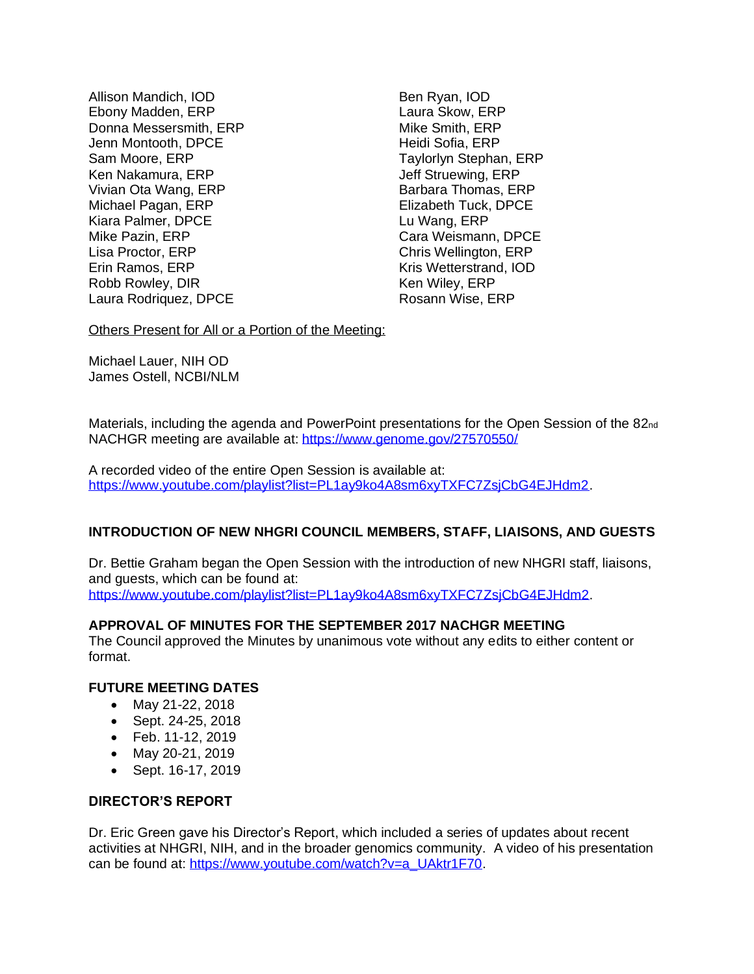Allison Mandich, IOD Ebony Madden, ERP Donna Messersmith, ERP Jenn Montooth, DPCE Sam Moore, ERP Ken Nakamura, ERP Vivian Ota Wang, ERP Michael Pagan, ERP Kiara Palmer, DPCE Mike Pazin, ERP Lisa Proctor, ERP Erin Ramos, ERP Robb Rowley, DIR Laura Rodriquez, DPCE

Ben Ryan, IOD Laura Skow, ERP Mike Smith, ERP Heidi Sofia, ERP Taylorlyn Stephan, ERP Jeff Struewing, ERP Barbara Thomas, ERP Elizabeth Tuck, DPCE Lu Wang, ERP Cara Weismann, DPCE Chris Wellington, ERP Kris Wetterstrand, IOD Ken Wiley, ERP Rosann Wise, ERP

Others Present for All or a Portion of the Meeting:

Michael Lauer, NIH OD James Ostell, NCBI/NLM

Materials, including the agenda and PowerPoint presentations for the Open Session of the 82<sub>nd</sub> NACHGR meeting are available at: <https://www.genome.gov/27570550/>

A recorded video of the entire Open Session is available at: [https://www.youtube.com/playlist?list=PL1ay9ko4A8sm6xyTXFC7ZsjCbG4EJHdm2.](https://www.youtube.com/playlist?list=PL1ay9ko4A8sm6xyTXFC7ZsjCbG4EJHdm2)

### **INTRODUCTION OF NEW NHGRI COUNCIL MEMBERS, STAFF, LIAISONS, AND GUESTS**

Dr. Bettie Graham began the Open Session with the introduction of new NHGRI staff, liaisons, and guests, which can be found at:

[https://www.youtube.com/playlist?list=PL1ay9ko4A8sm6xyTXFC7ZsjCbG4EJHdm2.](https://www.youtube.com/playlist?list=PL1ay9ko4A8sm6xyTXFC7ZsjCbG4EJHdm2)

# **APPROVAL OF MINUTES FOR THE SEPTEMBER 2017 NACHGR MEETING**

The Council approved the Minutes by unanimous vote without any edits to either content or format.

### **FUTURE MEETING DATES**

- May 21-22, 2018
- Sept. 24-25, 2018
- Feb. 11-12, 2019
- May 20-21, 2019
- Sept. 16-17, 2019

### **DIRECTOR'S REPORT**

Dr. Eric Green gave his Director's Report, which included a series of updates about recent activities at NHGRI, NIH, and in the broader genomics community. A video of his presentation can be found at: [https://www.youtube.com/watch?v=a\\_UAktr1F70.](https://www.youtube.com/watch?v=a_UAktr1F70)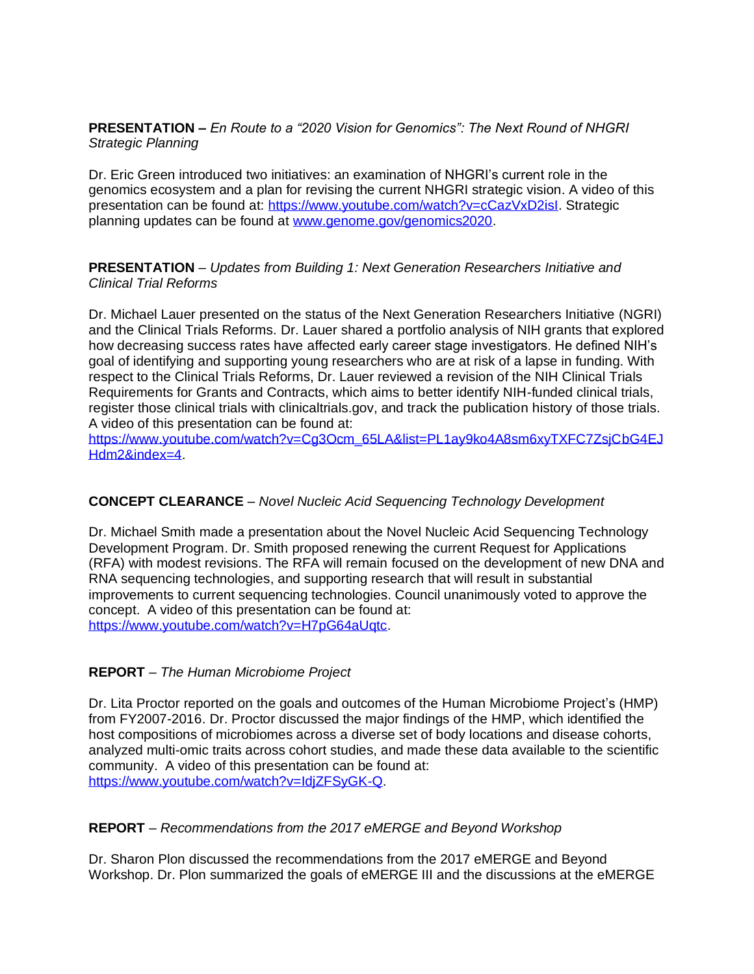**PRESENTATION –** *En Route to a "2020 Vision for Genomics": The Next Round of NHGRI Strategic Planning*

Dr. Eric Green introduced two initiatives: an examination of NHGRI's current role in the genomics ecosystem and a plan for revising the current NHGRI strategic vision. A video of this presentation can be found at: [https://www.youtube.com/watch?v=cCazVxD2isI.](https://www.youtube.com/watch?v=cCazVxD2isI) Strategic planning updates can be found at [www.genome.gov/genomics2020.](http://www.genome.gov/genomics2020)

**PRESENTATION** – *Updates from Building 1: Next Generation Researchers Initiative and Clinical Trial Reforms*

Dr. Michael Lauer presented on the status of the Next Generation Researchers Initiative (NGRI) and the Clinical Trials Reforms. Dr. Lauer shared a portfolio analysis of NIH grants that explored how decreasing success rates have affected early career stage investigators. He defined NIH's goal of identifying and supporting young researchers who are at risk of a lapse in funding. With respect to the Clinical Trials Reforms, Dr. Lauer reviewed a revision of the NIH Clinical Trials Requirements for Grants and Contracts, which aims to better identify NIH-funded clinical trials, register those clinical trials with clinicaltrials.gov, and track the publication history of those trials. A video of this presentation can be found at:

[https://www.youtube.com/watch?v=Cg3Ocm\\_65LA&list=PL1ay9ko4A8sm6xyTXFC7ZsjCbG4EJ](https://www.youtube.com/watch?v=Cg3Ocm_65LA&list=PL1ay9ko4A8sm6xyTXFC7ZsjCbG4EJHdm2&index=4) [Hdm2&index=4.](https://www.youtube.com/watch?v=Cg3Ocm_65LA&list=PL1ay9ko4A8sm6xyTXFC7ZsjCbG4EJHdm2&index=4)

### **CONCEPT CLEARANCE** – *Novel Nucleic Acid Sequencing Technology Development*

Dr. Michael Smith made a presentation about the Novel Nucleic Acid Sequencing Technology Development Program. Dr. Smith proposed renewing the current Request for Applications (RFA) with modest revisions. The RFA will remain focused on the development of new DNA and RNA sequencing technologies, and supporting research that will result in substantial improvements to current sequencing technologies. Council unanimously voted to approve the concept. A video of this presentation can be found at: [https://www.youtube.com/watch?v=H7pG64aUqtc.](https://www.youtube.com/watch?v=H7pG64aUqtc)

### **REPORT** – *The Human Microbiome Project*

Dr. Lita Proctor reported on the goals and outcomes of the Human Microbiome Project's (HMP) from FY2007-2016. Dr. Proctor discussed the major findings of the HMP, which identified the host compositions of microbiomes across a diverse set of body locations and disease cohorts, analyzed multi-omic traits across cohort studies, and made these data available to the scientific community. A video of this presentation can be found at: [https://www.youtube.com/watch?v=IdjZFSyGK-Q.](https://www.youtube.com/watch?v=IdjZFSyGK-Q)

### **REPORT** – *Recommendations from the 2017 eMERGE and Beyond Workshop*

Dr. Sharon Plon discussed the recommendations from the 2017 eMERGE and Beyond Workshop. Dr. Plon summarized the goals of eMERGE III and the discussions at the eMERGE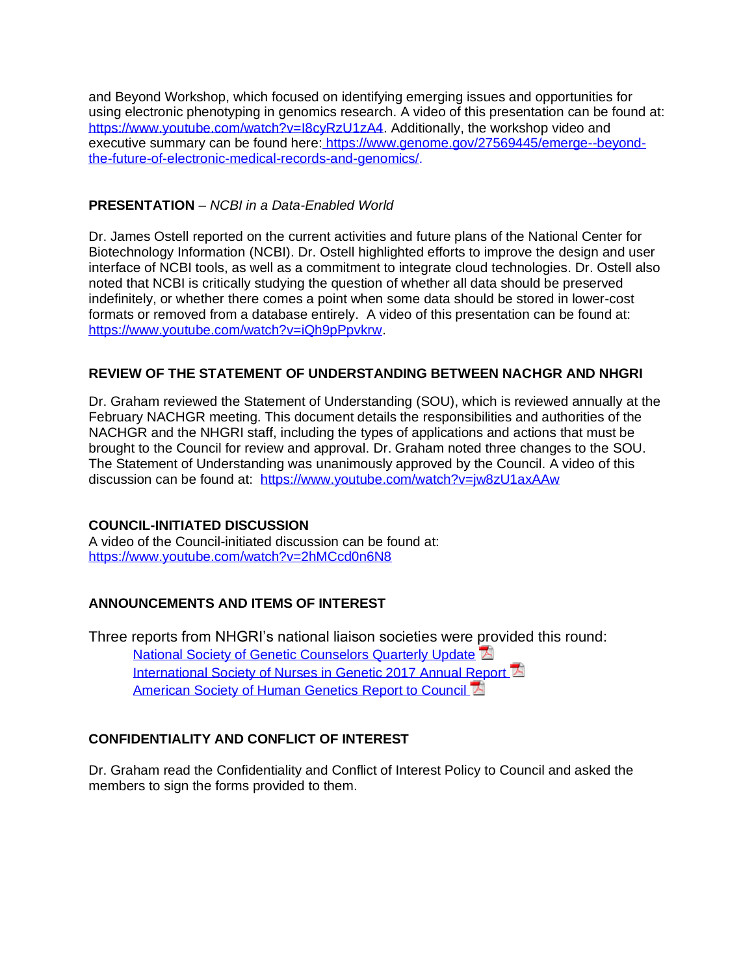and Beyond Workshop, which focused on identifying emerging issues and opportunities for using electronic phenotyping in genomics research. A video of this presentation can be found at: [https://www.youtube.com/watch?v=I8cyRzU1zA4.](https://www.youtube.com/watch?v=I8cyRzU1zA4) Additionally, the workshop video and executive summary can be found here: [https://www.genome.gov/27569445/emerge--beyond](https://www.genome.gov/27569445/emerge--beyond-the-future-of-electronic-medical-records-and-genomics/)[the-future-of-electronic-medical-records-and-genomics/.](https://www.genome.gov/27569445/emerge--beyond-the-future-of-electronic-medical-records-and-genomics/)

# **PRESENTATION** – *NCBI in a Data-Enabled World*

Dr. James Ostell reported on the current activities and future plans of the National Center for Biotechnology Information (NCBI). Dr. Ostell highlighted efforts to improve the design and user interface of NCBI tools, as well as a commitment to integrate cloud technologies. Dr. Ostell also noted that NCBI is critically studying the question of whether all data should be preserved indefinitely, or whether there comes a point when some data should be stored in lower-cost formats or removed from a database entirely. A video of this presentation can be found at: [https://www.youtube.com/watch?v=iQh9pPpvkrw.](https://www.youtube.com/watch?v=iQh9pPpvkrw)

## **REVIEW OF THE STATEMENT OF UNDERSTANDING BETWEEN NACHGR AND NHGRI**

Dr. Graham reviewed the Statement of Understanding (SOU), which is reviewed annually at the February NACHGR meeting. This document details the responsibilities and authorities of the NACHGR and the NHGRI staff, including the types of applications and actions that must be brought to the Council for review and approval. Dr. Graham noted three changes to the SOU. The Statement of Understanding was unanimously approved by the Council. A video of this discussion can be found at: <https://www.youtube.com/watch?v=jw8zU1axAAw>

### **COUNCIL-INITIATED DISCUSSION**

A video of the Council-initiated discussion can be found at: <https://www.youtube.com/watch?v=2hMCcd0n6N8>

# **ANNOUNCEMENTS AND ITEMS OF INTEREST**

Three reports from NHGRI's national liaison societies were provided this round: [National Society of Genetic Counselors Quarterly Update](https://www.genome.gov/Pages/About/NACHGR/February2018AgendaDocuments/National_Society_of_Genetic_Counselors_Report_to_Council_2-2018.pdf) [International Society of Nurses in Genetic 2017 Annual Report](https://www.genome.gov/Pages/About/NACHGR/February2018AgendaDocuments/International_Society_of_Nurses_in_Genetic_2017_Annual_Report.pdf) [American Society of Human Genetics Report to Council](https://www.genome.gov/Pages/About/NACHGR/February2018AgendaDocuments/NACHGR_February_Report-ASHG_Final.pdf) L

# **CONFIDENTIALITY AND CONFLICT OF INTEREST**

Dr. Graham read the Confidentiality and Conflict of Interest Policy to Council and asked the members to sign the forms provided to them.